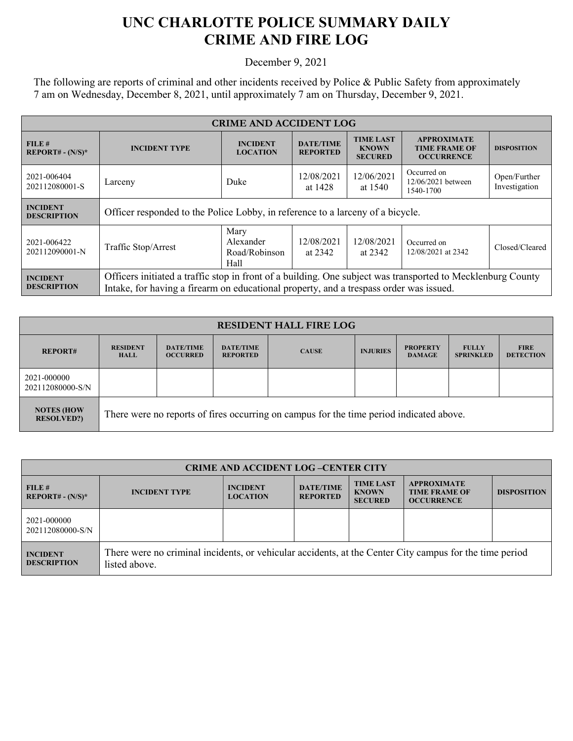## **UNC CHARLOTTE POLICE SUMMARY DAILY CRIME AND FIRE LOG**

December 9, 2021

The following are reports of criminal and other incidents received by Police & Public Safety from approximately 7 am on Wednesday, December 8, 2021, until approximately 7 am on Thursday, December 9, 2021.

| <b>CRIME AND ACCIDENT LOG</b>                  |                                                                                                                                                                                                       |                                            |                                     |                                                    |                                                                 |                               |
|------------------------------------------------|-------------------------------------------------------------------------------------------------------------------------------------------------------------------------------------------------------|--------------------------------------------|-------------------------------------|----------------------------------------------------|-----------------------------------------------------------------|-------------------------------|
| FILE#<br><b>REPORT# - <math>(N/S)^*</math></b> | <b>INCIDENT TYPE</b>                                                                                                                                                                                  | <b>INCIDENT</b><br><b>LOCATION</b>         | <b>DATE/TIME</b><br><b>REPORTED</b> | <b>TIME LAST</b><br><b>KNOWN</b><br><b>SECURED</b> | <b>APPROXIMATE</b><br><b>TIME FRAME OF</b><br><b>OCCURRENCE</b> | <b>DISPOSITION</b>            |
| 2021-006404<br>202112080001-S                  | Larceny                                                                                                                                                                                               | Duke                                       | 12/08/2021<br>at 1428               | 12/06/2021<br>at 1540                              | Occurred on<br>12/06/2021 between<br>1540-1700                  | Open/Further<br>Investigation |
| <b>INCIDENT</b><br><b>DESCRIPTION</b>          | Officer responded to the Police Lobby, in reference to a larceny of a bicycle.                                                                                                                        |                                            |                                     |                                                    |                                                                 |                               |
| 2021-006422<br>202112090001-N                  | Traffic Stop/Arrest                                                                                                                                                                                   | Mary<br>Alexander<br>Road/Robinson<br>Hall | 12/08/2021<br>at 2342               | 12/08/2021<br>at 2342                              | Occurred on<br>12/08/2021 at 2342                               | Closed/Cleared                |
| <b>INCIDENT</b><br><b>DESCRIPTION</b>          | Officers initiated a traffic stop in front of a building. One subject was transported to Mecklenburg County<br>Intake, for having a firearm on educational property, and a trespass order was issued. |                                            |                                     |                                                    |                                                                 |                               |

| <b>RESIDENT HALL FIRE LOG</b>          |                                                                                         |                                     |                                     |              |                 |                                  |                                  |                                 |
|----------------------------------------|-----------------------------------------------------------------------------------------|-------------------------------------|-------------------------------------|--------------|-----------------|----------------------------------|----------------------------------|---------------------------------|
| <b>REPORT#</b>                         | <b>RESIDENT</b><br><b>HALL</b>                                                          | <b>DATE/TIME</b><br><b>OCCURRED</b> | <b>DATE/TIME</b><br><b>REPORTED</b> | <b>CAUSE</b> | <b>INJURIES</b> | <b>PROPERTY</b><br><b>DAMAGE</b> | <b>FULLY</b><br><b>SPRINKLED</b> | <b>FIRE</b><br><b>DETECTION</b> |
| 2021-000000<br>202112080000-S/N        |                                                                                         |                                     |                                     |              |                 |                                  |                                  |                                 |
| <b>NOTES (HOW</b><br><b>RESOLVED?)</b> | There were no reports of fires occurring on campus for the time period indicated above. |                                     |                                     |              |                 |                                  |                                  |                                 |

| <b>CRIME AND ACCIDENT LOG-CENTER CITY</b> |                                                                                                                          |                                    |                                     |                                                    |                                                                 |                    |
|-------------------------------------------|--------------------------------------------------------------------------------------------------------------------------|------------------------------------|-------------------------------------|----------------------------------------------------|-----------------------------------------------------------------|--------------------|
| FILE#<br>$REPORT# - (N/S)*$               | <b>INCIDENT TYPE</b>                                                                                                     | <b>INCIDENT</b><br><b>LOCATION</b> | <b>DATE/TIME</b><br><b>REPORTED</b> | <b>TIME LAST</b><br><b>KNOWN</b><br><b>SECURED</b> | <b>APPROXIMATE</b><br><b>TIME FRAME OF</b><br><b>OCCURRENCE</b> | <b>DISPOSITION</b> |
| 2021-000000<br>202112080000-S/N           |                                                                                                                          |                                    |                                     |                                                    |                                                                 |                    |
| <b>INCIDENT</b><br><b>DESCRIPTION</b>     | There were no criminal incidents, or vehicular accidents, at the Center City campus for the time period<br>listed above. |                                    |                                     |                                                    |                                                                 |                    |